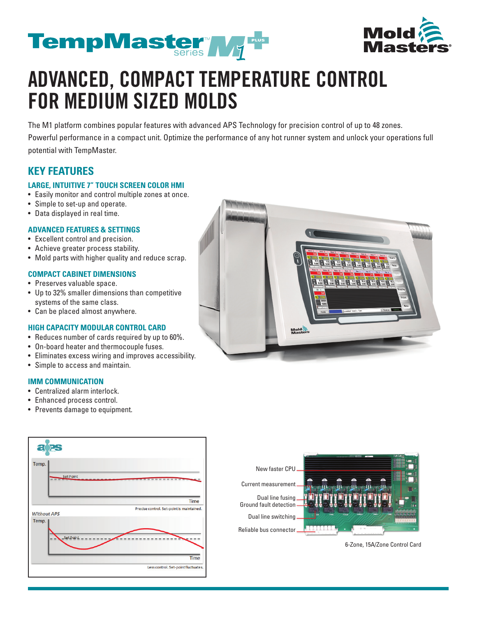



# **ADVANCED, COMPACT TEMPERATURE CONTROL FOR MEDIUM SIZED MOLDS**

The M1 platform combines popular features with advanced APS Technology for precision control of up to 48 zones.

Powerful performance in a compact unit. Optimize the performance of any hot runner system and unlock your operations full potential with TempMaster.

### **KEY FEATURES**

#### **LARGE, INTUITIVE 7" TOUCH SCREEN COLOR HMI**

- Easily monitor and control multiple zones at once.
- Simple to set-up and operate.
- Data displayed in real time.

#### **ADVANCED FEATURES & SETTINGS**

- Excellent control and precision.
- Achieve greater process stability.
- Mold parts with higher quality and reduce scrap.

### **COMPACT CABINET DIMENSIONS**

- Preserves valuable space.
- Up to 32% smaller dimensions than competitive systems of the same class.
- Can be placed almost anywhere.

#### **HIGH CAPACITY MODULAR CONTROL CARD**

- Reduces number of cards required by up to 60%.
- On-board heater and thermocouple fuses.
- Eliminates excess wiring and improves accessibility.
- Simple to access and maintain.

### **IMM COMMUNICATION**

- Centralized alarm interlock.
- Enhanced process control.
- Prevents damage to equipment.







6-Zone, 15A/Zone Control Card